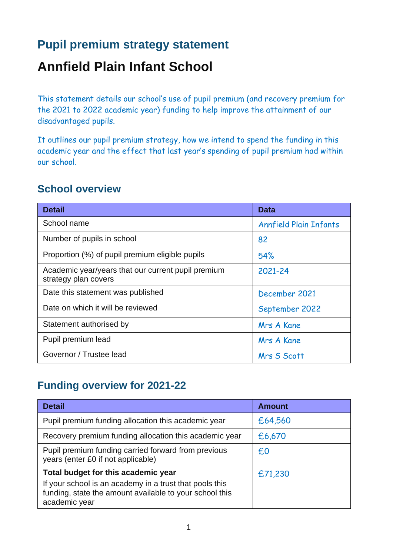# **Pupil premium strategy statement**

# **Annfield Plain Infant School**

This statement details our school's use of pupil premium (and recovery premium for the 2021 to 2022 academic year) funding to help improve the attainment of our disadvantaged pupils.

It outlines our pupil premium strategy, how we intend to spend the funding in this academic year and the effect that last year's spending of pupil premium had within our school.

#### **School overview**

| <b>Detail</b>                                                              | <b>Data</b>                   |  |
|----------------------------------------------------------------------------|-------------------------------|--|
| School name                                                                | <b>Annfield Plain Infants</b> |  |
| Number of pupils in school                                                 | 82                            |  |
| Proportion (%) of pupil premium eligible pupils                            | 54%                           |  |
| Academic year/years that our current pupil premium<br>strategy plan covers | 2021-24                       |  |
| Date this statement was published                                          | December 2021                 |  |
| Date on which it will be reviewed                                          | September 2022                |  |
| Statement authorised by                                                    | Mrs A Kane                    |  |
| Pupil premium lead                                                         | Mrs A Kane                    |  |
| Governor / Trustee lead                                                    | Mrs S Scott                   |  |

#### **Funding overview for 2021-22**

| <b>Detail</b>                                                                                                                                                              | <b>Amount</b> |
|----------------------------------------------------------------------------------------------------------------------------------------------------------------------------|---------------|
| Pupil premium funding allocation this academic year                                                                                                                        | £64,560       |
| Recovery premium funding allocation this academic year                                                                                                                     | £6,670        |
| Pupil premium funding carried forward from previous<br>years (enter £0 if not applicable)                                                                                  | £0            |
| Total budget for this academic year<br>If your school is an academy in a trust that pools this<br>funding, state the amount available to your school this<br>academic year | £71,230       |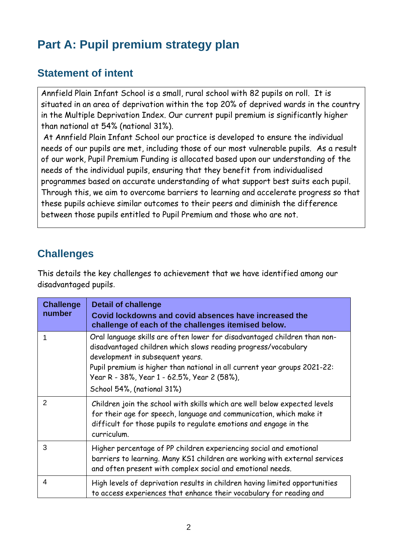# **Part A: Pupil premium strategy plan**

### **Statement of intent**

Annfield Plain Infant School is a small, rural school with 82 pupils on roll. It is situated in an area of deprivation within the top 20% of deprived wards in the country in the Multiple Deprivation Index. Our current pupil premium is significantly higher than national at 54% (national 31%).

At Annfield Plain Infant School our practice is developed to ensure the individual needs of our pupils are met, including those of our most vulnerable pupils. As a result of our work, Pupil Premium Funding is allocated based upon our understanding of the needs of the individual pupils, ensuring that they benefit from individualised programmes based on accurate understanding of what support best suits each pupil. Through this, we aim to overcome barriers to learning and accelerate progress so that these pupils achieve similar outcomes to their peers and diminish the difference between those pupils entitled to Pupil Premium and those who are not.

### **Challenges**

This details the key challenges to achievement that we have identified among our disadvantaged pupils.

| <b>Challenge</b><br>number | <b>Detail of challenge</b><br>Covid lockdowns and covid absences have increased the<br>challenge of each of the challenges itemised below.                                                                                                                                                                  |
|----------------------------|-------------------------------------------------------------------------------------------------------------------------------------------------------------------------------------------------------------------------------------------------------------------------------------------------------------|
|                            | Oral language skills are often lower for disadvantaged children than non-<br>disadvantaged children which slows reading progress/vocabulary<br>development in subsequent years.<br>Pupil premium is higher than national in all current year groups 2021-22:<br>Year R - 38%, Year 1 - 62.5%, Year 2 (58%), |
|                            | School 54%, (national 31%)                                                                                                                                                                                                                                                                                  |
| $\overline{2}$             | Children join the school with skills which are well below expected levels<br>for their age for speech, language and communication, which make it<br>difficult for those pupils to regulate emotions and engage in the<br>curriculum.                                                                        |
| 3                          | Higher percentage of PP children experiencing social and emotional<br>barriers to learning. Many KS1 children are working with external services<br>and often present with complex social and emotional needs.                                                                                              |
| 4                          | High levels of deprivation results in children having limited opportunities<br>to access experiences that enhance their vocabulary for reading and                                                                                                                                                          |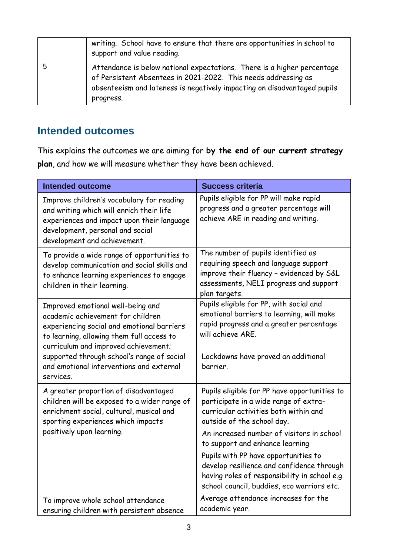|   | writing. School have to ensure that there are opportunities in school to<br>support and value reading.                                                                                                                             |
|---|------------------------------------------------------------------------------------------------------------------------------------------------------------------------------------------------------------------------------------|
| 5 | Attendance is below national expectations. There is a higher percentage<br>of Persistent Absentees in 2021-2022. This needs addressing as<br>absenteeism and lateness is negatively impacting on disadvantaged pupils<br>progress. |

### **Intended outcomes**

This explains the outcomes we are aiming for **by the end of our current strategy plan**, and how we will measure whether they have been achieved.

| <b>Intended outcome</b>                                                                                                                                                                                                                                                                                          | <b>Success criteria</b>                                                                                                                                                                                                                                                                                                                                                                                                          |
|------------------------------------------------------------------------------------------------------------------------------------------------------------------------------------------------------------------------------------------------------------------------------------------------------------------|----------------------------------------------------------------------------------------------------------------------------------------------------------------------------------------------------------------------------------------------------------------------------------------------------------------------------------------------------------------------------------------------------------------------------------|
| Improve children's vocabulary for reading<br>and writing which will enrich their life<br>experiences and impact upon their language<br>development, personal and social<br>development and achievement.                                                                                                          | Pupils eligible for PP will make rapid<br>progress and a greater percentage will<br>achieve ARE in reading and writing.                                                                                                                                                                                                                                                                                                          |
| To provide a wide range of opportunities to<br>develop communication and social skills and<br>to enhance learning experiences to engage<br>children in their learning.                                                                                                                                           | The number of pupils identified as<br>requiring speech and language support<br>improve their fluency - evidenced by S&L<br>assessments, NELI progress and support<br>plan targets.                                                                                                                                                                                                                                               |
| Improved emotional well-being and<br>academic achievement for children<br>experiencing social and emotional barriers<br>to learning, allowing them full access to<br>curriculum and improved achievement;<br>supported through school's range of social<br>and emotional interventions and external<br>services. | Pupils eligible for PP, with social and<br>emotional barriers to learning, will make<br>rapid progress and a greater percentage<br>will achieve ARE.<br>Lockdowns have proved an additional<br>barrier.                                                                                                                                                                                                                          |
| A greater proportion of disadvantaged<br>children will be exposed to a wider range of<br>enrichment social, cultural, musical and<br>sporting experiences which impacts<br>positively upon learning.                                                                                                             | Pupils eligible for PP have opportunities to<br>participate in a wide range of extra-<br>curricular activities both within and<br>outside of the school day.<br>An increased number of visitors in school<br>to support and enhance learning<br>Pupils with PP have opportunities to<br>develop resilience and confidence through<br>having roles of responsibility in school e.g.<br>school council, buddies, eco warriors etc. |
| To improve whole school attendance<br>ensuring children with persistent absence                                                                                                                                                                                                                                  | Average attendance increases for the<br>academic year.                                                                                                                                                                                                                                                                                                                                                                           |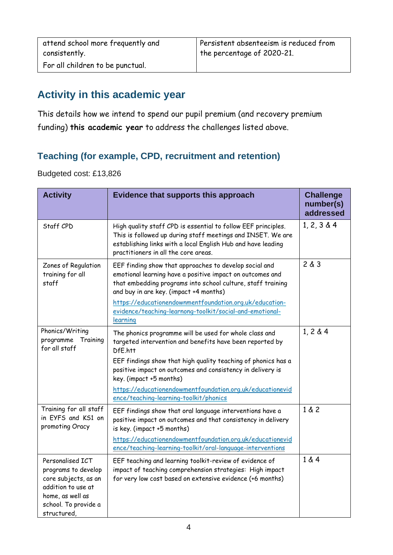### **Activity in this academic year**

This details how we intend to spend our pupil premium (and recovery premium funding) **this academic year** to address the challenges listed above.

### **Teaching (for example, CPD, recruitment and retention)**

Budgeted cost: £13,826

| <b>Activity</b>                                                                                                                                  | Evidence that supports this approach                                                                                                                                                                                                                                                                                                                                                           | <b>Challenge</b><br>number(s)<br>addressed |
|--------------------------------------------------------------------------------------------------------------------------------------------------|------------------------------------------------------------------------------------------------------------------------------------------------------------------------------------------------------------------------------------------------------------------------------------------------------------------------------------------------------------------------------------------------|--------------------------------------------|
| Staff CPD                                                                                                                                        | High quality staff CPD is essential to follow EEF principles.<br>This is followed up during staff meetings and INSET. We are<br>establishing links with a local English Hub and have leading<br>practitioners in all the core areas.                                                                                                                                                           | 1, 2, 3 & 4                                |
| Zones of Regulation<br>training for all<br>staff                                                                                                 | EEF finding show that approaches to develop social and<br>emotional learning have a positive impact on outcomes and<br>that embedding programs into school culture, staff training<br>and buy in are key. (impact +4 months)<br>https://educationendownmentfoundation.org.uk/education-<br>evidence/teaching-learnong-toolkit/social-and-emotional-<br>learning                                | 2 & 3                                      |
| Phonics/Writing<br>programme<br>Training<br>for all staff                                                                                        | The phonics programme will be used for whole class and<br>targeted intervention and benefits have been reported by<br>DfE.htt<br>EEF findings show that high quality teaching of phonics has a<br>positive impact on outcomes and consistency in delivery is<br>key. (impact +5 months)<br>https://educationendowmentfoundation.org.uk/educationevid<br>ence/teaching-learning-toolkit/phonics | 1, 2 & 4                                   |
| Training for all staff<br>in EYFS and KS1 on<br>promoting Oracy                                                                                  | EEF findings show that oral language interventions have a<br>positive impact on outcomes and that consistency in delivery<br>is key. (impact +5 months)<br>https://educationendowmentfoundation.org.uk/educationevid<br>ence/teaching-learning-toolkit/oral-language-interventions                                                                                                             | 1 & 2                                      |
| Personalised ICT<br>programs to develop<br>core subjects, as an<br>addition to use at<br>home, as well as<br>school. To provide a<br>structured, | EEF teaching and learning toolkit-review of evidence of<br>impact of teaching comprehension strategies: High impact<br>for very low cost based on extensive evidence (+6 months)                                                                                                                                                                                                               | 1 & 4                                      |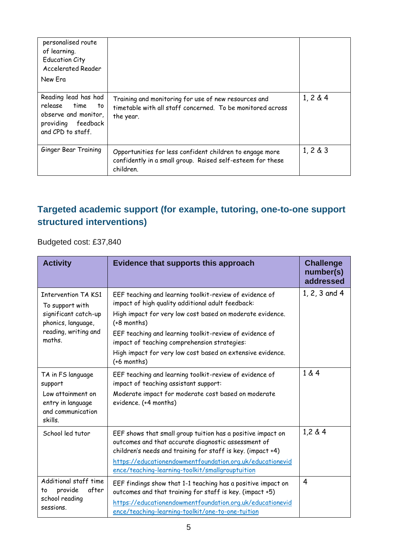| personalised route<br>of learning.<br><b>Education City</b><br><b>Accelerated Reader</b><br>New Era        |                                                                                                                                     |             |
|------------------------------------------------------------------------------------------------------------|-------------------------------------------------------------------------------------------------------------------------------------|-------------|
| Reading lead has had<br>release time to<br>observe and monitor,<br>providing feedback<br>and CPD to staff. | Training and monitoring for use of new resources and<br>timetable with all staff concerned. To be monitored across<br>the year.     | 1, 2 & 4    |
| Ginger Bear Training                                                                                       | Opportunities for less confident children to engage more<br>confidently in a small group. Raised self-esteem for these<br>children. | $1, 2 \& 3$ |

### **Targeted academic support (for example, tutoring, one-to-one support structured interventions)**

Budgeted cost: £37,840

| <b>Activity</b>                                                                                                               | Evidence that supports this approach                                                                                                                                                                                                                                                                                                                                                 | <b>Challenge</b><br>number(s)<br>addressed |
|-------------------------------------------------------------------------------------------------------------------------------|--------------------------------------------------------------------------------------------------------------------------------------------------------------------------------------------------------------------------------------------------------------------------------------------------------------------------------------------------------------------------------------|--------------------------------------------|
| <b>Intervention TA KS1</b><br>To support with<br>significant catch-up<br>phonics, language,<br>reading, writing and<br>maths. | EEF teaching and learning toolkit-review of evidence of<br>impact of high quality additional adult feedback:<br>High impact for very low cost based on moderate evidence.<br>$(+8$ months)<br>EEF teaching and learning toolkit-review of evidence of<br>impact of teaching comprehension strategies:<br>High impact for very low cost based on extensive evidence.<br>$(+6$ months) | 1, 2, 3 and 4                              |
| TA in FS language<br>support<br>Low attainment on<br>entry in language<br>and communication<br>skills.                        | EEF teaching and learning toolkit-review of evidence of<br>impact of teaching assistant support:<br>Moderate impact for moderate cost based on moderate<br>evidence. (+4 months)                                                                                                                                                                                                     | 1 & 4                                      |
| School led tutor                                                                                                              | EEF shows that small group tuition has a positive impact on<br>outcomes and that accurate diagnostic assessment of<br>children's needs and training for staff is key. (impact +4)<br>https://educationendowmentfoundation.org.uk/educationevid<br>ence/teaching-learning-toolkit/smallgrouptuition                                                                                   | 1,2 & 4                                    |
| Additional staff time<br>after<br>provide<br>to<br>school reading<br>sessions.                                                | EEF findings show that 1-1 teaching has a positive impact on<br>outcomes and that training for staff is key. (impact +5)<br>https://educationendowmentfoundation.org.uk/educationevid<br>ence/teaching-learning-toolkit/one-to-one-tuition                                                                                                                                           | 4                                          |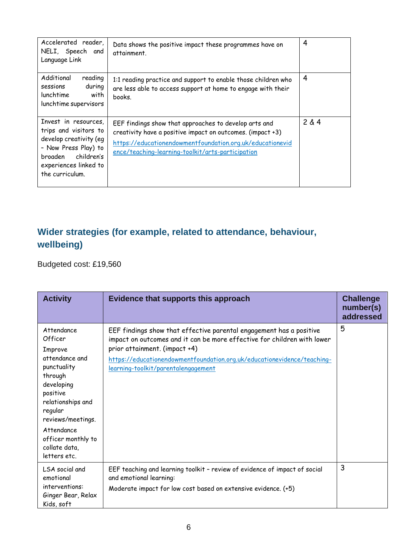| Accelerated reader,<br>NELI, Speech and<br>Language Link                                                                                                          | Data shows the positive impact these programmes have on<br>attainment.                                                                                                                                                                | 4     |
|-------------------------------------------------------------------------------------------------------------------------------------------------------------------|---------------------------------------------------------------------------------------------------------------------------------------------------------------------------------------------------------------------------------------|-------|
| Additional<br>reading<br>during<br>sessions<br>lunchtime<br>with<br>lunchtime supervisors                                                                         | 1:1 reading practice and support to enable those children who<br>are less able to access support at home to engage with their<br>books.                                                                                               | 4     |
| Invest in resources,<br>trips and visitors to<br>develop creativity (eq<br>- Now Press Play) to<br>broaden children's<br>experiences linked to<br>the curriculum. | EEF findings show that approaches to develop arts and<br>creativity have a positive impact on outcomes. (impact +3)<br>https://educationendowmentfoundation.org.uk/educationevid<br>ence/teaching-learning-toolkit/arts-participation | 2 & 4 |

### **Wider strategies (for example, related to attendance, behaviour, wellbeing)**

Budgeted cost: £19,560

| <b>Activity</b>                                                                                                                                                                                                                  | Evidence that supports this approach                                                                                                                                                                                                                                                              | <b>Challenge</b><br>number(s)<br>addressed |
|----------------------------------------------------------------------------------------------------------------------------------------------------------------------------------------------------------------------------------|---------------------------------------------------------------------------------------------------------------------------------------------------------------------------------------------------------------------------------------------------------------------------------------------------|--------------------------------------------|
| Attendance<br>Officer<br>Improve<br>attendance and<br>punctuality<br>through<br>developing<br>positive<br>relationships and<br>regular<br>reviews/meetings.<br>Attendance<br>officer monthly to<br>collate data,<br>letters etc. | EEF findings show that effective parental engagement has a positive<br>impact on outcomes and it can be more effective for children with lower<br>prior attainment. (impact +4)<br>https://educationendowmentfoundation.org.uk/educationevidence/teaching-<br>learning-toolkit/parentalengagement | 5                                          |
| LSA social and<br>emotional<br>interventions:<br>Ginger Bear, Relax<br>Kids, soft                                                                                                                                                | EEF teaching and learning toolkit - review of evidence of impact of social<br>and emotional learning:<br>Moderate impact for low cost based on extensive evidence. (+5)                                                                                                                           | 3                                          |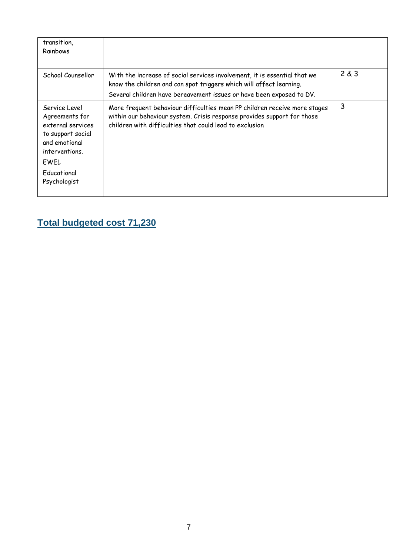| transition,<br>Rainbows                                                                                                                             |                                                                                                                                                                                                                          |       |
|-----------------------------------------------------------------------------------------------------------------------------------------------------|--------------------------------------------------------------------------------------------------------------------------------------------------------------------------------------------------------------------------|-------|
| School Counsellor                                                                                                                                   | With the increase of social services involvement, it is essential that we<br>know the children and can spot triggers which will affect learning.<br>Several children have bereavement issues or have been exposed to DV. | 2 & 3 |
| Service Level<br>Agreements for<br>external services<br>to support social<br>and emotional<br>interventions.<br>EWEL<br>Educational<br>Psychologist | More frequent behaviour difficulties mean PP children receive more stages<br>within our behaviour system. Crisis response provides support for those<br>children with difficulties that could lead to exclusion          | 3     |

### **Total budgeted cost 71,230**